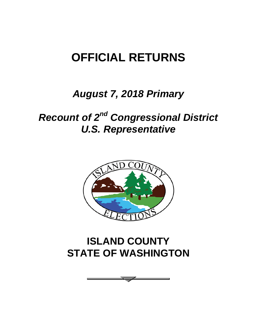# **OFFICIAL RETURNS**

### *August 7, 2018 Primary*

# *Recount of 2nd Congressional District U.S. Representative*



## **ISLAND COUNTY STATE OF WASHINGTON**

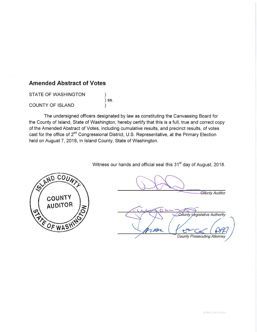#### **Amended Abstract of Votes**

STATE OF WASHINGTON  $)$  SS. **COUNTY OF ISLAND**  $\lambda$ 

The undersigned officers designated by law as constituting the Canvassing Board for the County of Island, State of Washington, hereby certify that this is a full, true and correct copy of the Amended Abstract of Votes, including cumulative results, and precinct results, of votes cast for the office of 2<sup>nd</sup> Congressional District, U.S. Representative, at the Primary Election held on August 7, 2018, in Island County, State of Washington.

Witness our hands and official seal this 31<sup>st</sup> day of August, 2018.



**County Auditor** 

County Legislative Authority **County Prosecuting Attorney**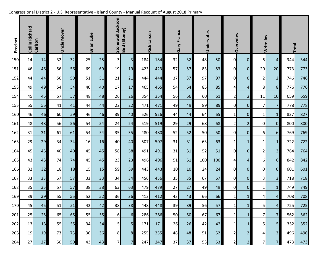|  | Congressional District 2 - U.S. Representative - Island County - Manual Recount of August 2018 Primary |
|--|--------------------------------------------------------------------------------------------------------|
|  |                                                                                                        |

| Precinct | <b>Collin Richard</b><br>Carlson |    |    | <b>Uncle Mover</b> |    | <b>Brian Luke</b> |                | Stonewall Jackson<br>Bird (Stoney) |            | <b>Rick Larsen</b> |           | Gary Franco |     | Undervotes |                | Overvotes      |                 | Write-ins               |     | Total |  |
|----------|----------------------------------|----|----|--------------------|----|-------------------|----------------|------------------------------------|------------|--------------------|-----------|-------------|-----|------------|----------------|----------------|-----------------|-------------------------|-----|-------|--|
| 150      | 14                               | 14 | 32 | 32                 | 25 | 25                | $\overline{3}$ | $\overline{\mathbf{3}}$            | 184        | 184                | 32        | 32          | 48  | 50         | 0              | $\overline{0}$ | $6 \mid$        | $\overline{4}$          | 344 | 344   |  |
| 151      | 46                               | 46 | 56 | 56                 | 69 | 69                | 19             | 19                                 | 423        | 423                | 57        | 57          | 83  | 83         | $\overline{0}$ | $\overline{0}$ | 20              | 20                      | 773 | 773   |  |
| 152      | 44                               | 44 | 50 | 50                 | 51 | 51                | 21             | 21                                 | 444        | 444                | 37        | 37          | 97  | 97         | 0              | $\overline{0}$ | $\overline{2}$  | $\overline{2}$          | 746 | 746   |  |
| 153      | 49                               | 49 | 54 | 54                 | 40 | 40                | 17             | 17                                 | 465        | 465                | 54        | 54          | 85  | 85         | $\vert$        | $\overline{a}$ | 8 <sub>l</sub>  | 8                       | 776 | 776   |  |
| 154      | 45                               | 45 | 57 | 57                 | 48 | 48                | 26             | 26                                 | 354        | 354                | 56        | 56          | 60  | 61         | $\overline{2}$ | $\overline{2}$ | 11              | 10                      | 659 | 659   |  |
| 155      | 55                               | 55 | 41 | 41                 | 44 | 44                | 22             | 22                                 | 471        | 471                | 49        | 49          | 89  | 89         | 0              | $\overline{0}$ | 7               | $\overline{7}$          | 778 | 778   |  |
| 160      | 46                               | 46 | 60 | 59                 | 46 | 46                | 39             | 40                                 | 526        | 526                | 44        | 44          | 64  | 65         | $1\vert$       | $\overline{0}$ | $\mathbf{1}$    | $\mathbf{1}$            | 827 | 827   |  |
| 161      | 48                               | 48 | 56 | 56                 | 54 | 54                | 24             | 24                                 | 519        | 519                | 29        | 29          | 68  | 68         | $\overline{2}$ | $\overline{2}$ | $\overline{0}$  | $\overline{0}$          | 800 | 800   |  |
| 162      | 31                               | 31 | 61 | 61                 | 54 | 54                | 35             | 35                                 | 480        | 480                | 52        | 52          | 50  | 50         | 0              | $\overline{0}$ | $6 \mid$        | $6 \overline{6}$        | 769 | 769   |  |
| 163      | 29                               | 29 | 34 | 34                 | 16 | 16                | 40             | 40                                 | 507        | 507                | 31        | 31          | 63  | 63         | $1\vert$       | $\mathbf{1}$   | $\mathbf{1}$    | $\mathbf{1}$            | 722 | 722   |  |
| 164      | 45                               | 45 | 40 | 40                 | 45 | 45                | 58             | 58                                 | 491        | 491                | 31        | 31          | 52  | 51         | 0              | $\overline{0}$ | $\overline{2}$  | $\overline{3}$          | 764 | 764   |  |
| 165      | 43                               | 43 | 74 | 74                 | 45 | 45                | 23             | 23                                 | 496        | 496                | 51        | 51          | 100 | 100        | 4              | $\overline{a}$ | $6 \mid$        | $6 \overline{6}$        | 842 | 842   |  |
| 166      | 32                               | 32 | 18 | 18                 | 15 | 15                | 59             | 59                                 | 443        | 443                | 10        | 10          | 24  | 24         | $\overline{0}$ | $\overline{0}$ | $\overline{0}$  | $\overline{0}$          | 601 | 601   |  |
| 167      | 33                               | 33 | 57 | 57                 | 33 | 33                | 34             | 34                                 | 456        | 456                | 35        | 35          | 67  | 67         | $\overline{0}$ | $\overline{0}$ | 3               | $\overline{\mathbf{3}}$ | 718 | 718   |  |
| 168      | 35                               | 35 | 57 | 57                 | 38 | 38                | 63             | 63                                 | 479        | 479                | 27        | 27          | 49  | 49         | $\overline{0}$ | $\overline{0}$ | $\mathbf{1}$    | $\mathbf{1}$            | 749 | 749   |  |
| 169      | 39                               | 39 | 55 | 55                 | 52 | 52                | 36             | 36                                 | 412        | 412                | 43        | 43          | 66  | 66         | $1\vert$       | $\mathbf{1}$   | 4               | 4                       | 708 | 708   |  |
| 170      | 45                               | 45 | 51 | 51                 | 42 | 42                | 38             | 38                                 | 448        | 448                | 39        | 39          | 56  | 57         | $1\vert$       | $1\vert$       | 5 <sup>1</sup>  | $\overline{4}$          | 725 | 725   |  |
| 201      | 25                               | 25 | 65 | 65                 | 55 | 55                | $6\vert$       | 6                                  | <b>286</b> | 286                | <b>50</b> | 50          | 67  | 67         | $1\vert$       | $\mathbf{1}$   | 71              | 7                       | 562 | 562   |  |
| 202      | 13                               | 13 | 55 | 55                 | 34 | 34                | 5              | 5 <sub>l</sub>                     | 171        | 171                | 26        | 26          | 42  | 42         | $1\vert$       | $\mathbf{1}$   | 5 <sub>l</sub>  | 5 <sub>l</sub>          | 352 | 352   |  |
| 203      | 19                               | 19 | 73 | 73                 | 36 | 36                | 8              | 8                                  | 255        | 255                | 48        | 48          | 51  | 52         | 2 <sup>1</sup> | $\overline{2}$ | $\vert 4 \vert$ | 3 <sup>l</sup>          | 496 | 496   |  |
| 204      | 27                               | 27 | 50 | 50                 | 43 | 43                | 7 <sup>1</sup> | 7 <sup>1</sup>                     | 247        | 247                | 37        | 37          | 53  | 53         | 2              | $\overline{2}$ | 7               | $\overline{7}$          | 473 | 473   |  |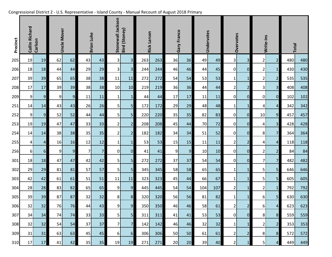|  | Congressional District 2 - U.S. Representative - Island County - Manual Recount of August 2018 Primary |
|--|--------------------------------------------------------------------------------------------------------|
|  |                                                                                                        |

| Precinct | <b>Collin Richard</b><br>Carlson |                  |                | <b>Uncle Mover</b> |                |                |                |                         |     | <b>Brian Luke</b> |    | Stonewall Jackson<br>Bird (Stoney) |     | <b>Rick Larsen</b> |                         | Gary Franco             |                  | Undervotes              |     | Overvotes |  | Write-ins |  | <b>Total</b> |  |  |
|----------|----------------------------------|------------------|----------------|--------------------|----------------|----------------|----------------|-------------------------|-----|-------------------|----|------------------------------------|-----|--------------------|-------------------------|-------------------------|------------------|-------------------------|-----|-----------|--|-----------|--|--------------|--|--|
| 205      | 19                               | 19               | 62             | 62                 | 43             | 43             | 3              | $\mathbf{3}$            | 263 | 263               | 36 | 36                                 | 49  | 49                 | $\overline{\mathsf{3}}$ | $\overline{\mathbf{3}}$ | $\overline{2}$   | $\overline{2}$          | 480 | 480       |  |           |  |              |  |  |
| 206      | 18                               | 18               | 44             | 44                 | 29             | 29             | 3              | $\overline{\mathbf{3}}$ | 244 | 244               | 46 | 46                                 | 44  | 45                 | $\overline{0}$          | $\overline{0}$          | $\overline{2}$   | 1                       | 430 | 430       |  |           |  |              |  |  |
| 207      | 39                               | 39               | 65             | 65                 | 38             | 38             | 11             | 11                      | 272 | 272               | 54 | 54                                 | 53  | 53                 | $1\vert$                | $\mathbf{1}$            | $\overline{2}$   | $\overline{2}$          | 535 | 535       |  |           |  |              |  |  |
| 208      | 17                               | 17               | 39             | 39                 | 38             | 38             | 10             | 10                      | 219 | 219               | 36 | 36                                 | 44  | 44                 | $\overline{2}$          | $\overline{2}$          | 3                | $\overline{3}$          | 408 | 408       |  |           |  |              |  |  |
| 209      | 9                                | $\overline{9}$   | $\overline{9}$ | $9$                | 11             | 11             | $\mathbf{1}$   | $\mathbf 1$             | 44  | 44                | 17 | 17                                 | 11  | 11                 | $\overline{0}$          | $\overline{O}$          | $\overline{0}$   | $\overline{0}$          | 102 | 102       |  |           |  |              |  |  |
| 251      | 14                               | 14               | 43             | 43                 | 26             | 26             | 5              | $\overline{\mathbf{5}}$ | 172 | 172               | 29 | 29                                 | 48  | 48                 | $1\vert$                | $\mathbf{1}$            | 4                | $\overline{a}$          | 342 | 342       |  |           |  |              |  |  |
| 252      | 9                                | $\overline{9}$   | 52             | 52                 | 44             | 44             | 5              | $\overline{\mathbf{5}}$ | 220 | 220               | 35 | 35                                 | 82  | 83                 | $\overline{0}$          | $\overline{0}$          | 10               | 9                       | 457 | 457       |  |           |  |              |  |  |
| 253      | 19                               | 19               | 47             | 47                 | 33             | 33             | $\overline{2}$ | $\mathbf{2}$            | 208 | 208               | 45 | 44                                 | 70  | 72                 | $\overline{0}$          | $\overline{0}$          | $\boldsymbol{4}$ | $\overline{\mathbf{3}}$ | 428 | 428       |  |           |  |              |  |  |
| 254      | 14                               | 14               | 38             | 38                 | 35             | 35             | 2              | $\overline{2}$          | 182 | 182               | 34 | 34                                 | 51  | 52                 | $\overline{0}$          | $\mathbf 0$             | 8                | $\overline{7}$          | 364 | 364       |  |           |  |              |  |  |
| 255      | 4                                | $\overline{4}$   | 16             | 16                 | 12             | 12             | $1\vert$       | $\mathbf{1}$            | 53  | 53                | 15 | 15                                 | 11  | 11                 | $\overline{2}$          | $\overline{2}$          | $\boldsymbol{4}$ | $\overline{4}$          | 118 | 118       |  |           |  |              |  |  |
| 256      | $6 \mid$                         | $6 \overline{6}$ | $\overline{9}$ | $\overline{9}$     | 7 <sup>1</sup> | $\overline{7}$ | $\overline{0}$ | $\overline{0}$          | 41  | 41                | 9  | $\overline{9}$                     | 10  | 10                 | $\overline{0}$          | $\overline{0}$          | $\overline{2}$   | $\overline{2}$          | 84  | 84        |  |           |  |              |  |  |
| 301      | 18                               | 18               | 47             | 47                 | 42             | 42             | 5              | 5                       | 272 | 272               | 37 | 37                                 | 54  | 54                 | $\overline{0}$          | $\overline{0}$          | 7 <sup>1</sup>   | $\overline{7}$          | 482 | 482       |  |           |  |              |  |  |
| 302      | 29                               | 29               | 81             | 81                 | 57             | 57             | 5 <sup>1</sup> | 5 <sup>1</sup>          | 345 | 345               | 58 | 58                                 | 65  | 65                 | $\mathbf{1}$            | $\mathbf{1}$            | 5                | 5                       | 646 | 646       |  |           |  |              |  |  |
| 303      | 42                               | 42               | 61             | 61                 | 51             | 51             | 11             | 11                      | 323 | 323               | 45 | 44                                 | 66  | 67                 | $\mathbf 1$             | $\mathbf{1}$            | 5                | $5\overline{)}$         | 605 | 605       |  |           |  |              |  |  |
| 304      | 28                               | 28               | 83             | 82                 | 65             | 65             | 9              | $\overline{9}$          | 445 | 445               | 54 | 54                                 | 104 | 107                | $\overline{2}$          | $\mathbf{1}$            | 2                | $\mathbf{1}$            | 792 | 792       |  |           |  |              |  |  |
| 305      | 39                               | 39               | 87             | 87                 | 32             | 32             | 8              | $\boldsymbol{8}$        | 320 | 320               | 56 | 56                                 | 81  | 82                 | $\mathbf{1}$            | $\mathbf{1}$            | 6                | 5 <sup>1</sup>          | 630 | 630       |  |           |  |              |  |  |
| 306      | 32                               | 32               | 76             | 76                 | 44             | 43             | 9              | $\overline{9}$          | 350 | 350               | 46 | 46                                 | 58  | 61                 | 2                       | $\overline{2}$          | $6 \mid$         | $\overline{a}$          | 623 | 623       |  |           |  |              |  |  |
| 307      | 34                               | 34               | 74             | 74                 | 33             | 33             | 5              | 5 <sub>l</sub>          | 311 | 311               | 41 | 41                                 | 53  | 53                 | 0                       | $\overline{0}$          | 8 <sup>1</sup>   | 8                       | 559 | 559       |  |           |  |              |  |  |
| 308      | 32                               | 32               | 54             | 54                 | 37             | 37             | 7 <sup>1</sup> | $\overline{7}$          | 142 | 142               | 46 | 46                                 | 32  | 32                 | $1\vert$                | $\mathbf{1}$            | $\overline{2}$   | 2 <sub>l</sub>          | 353 | 353       |  |           |  |              |  |  |
| 309      | 31                               | 31               | 63             | 63                 | 45             | 45             | 6 <sup>1</sup> | 6                       | 306 | 306               | 50 | 50                                 | 61  | 61                 | $\overline{2}$          | $\mathbf{2}$            | 8 <sup>1</sup>   | 8                       | 572 | 572       |  |           |  |              |  |  |
| 310      | 17                               | 17               | 41             | 42                 | 35             | 35             | 19             | 19                      | 271 | 271               | 20 | 20                                 | 39  | 40                 | 2 <sup>1</sup>          | $\mathbf{1}$            | 5                | $\overline{a}$          | 449 | 449       |  |           |  |              |  |  |